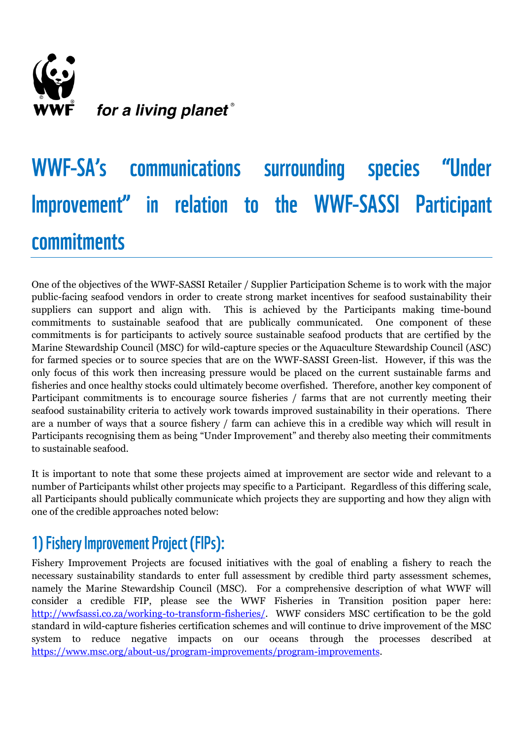

# WWF-SA's communications surrounding species "Under Improvement" in relation to the WWF-SASSI Participant **commitments**

One of the objectives of the WWF-SASSI Retailer / Supplier Participation Scheme is to work with the major public-facing seafood vendors in order to create strong market incentives for seafood sustainability their suppliers can support and align with. This is achieved by the Participants making time-bound commitments to sustainable seafood that are publically communicated. One component of these commitments is for participants to actively source sustainable seafood products that are certified by the Marine Stewardship Council (MSC) for wild-capture species or the Aquaculture Stewardship Council (ASC) for farmed species or to source species that are on the WWF-SASSI Green-list. However, if this was the only focus of this work then increasing pressure would be placed on the current sustainable farms and fisheries and once healthy stocks could ultimately become overfished. Therefore, another key component of Participant commitments is to encourage source fisheries / farms that are not currently meeting their seafood sustainability criteria to actively work towards improved sustainability in their operations. There are a number of ways that a source fishery / farm can achieve this in a credible way which will result in Participants recognising them as being "Under Improvement" and thereby also meeting their commitments to sustainable seafood.

It is important to note that some these projects aimed at improvement are sector wide and relevant to a number of Participants whilst other projects may specific to a Participant. Regardless of this differing scale, all Participants should publically communicate which projects they are supporting and how they align with one of the credible approaches noted below:

### 1) Fishery Improvement Project (FIPs):

Fishery Improvement Projects are focused initiatives with the goal of enabling a fishery to reach the necessary sustainability standards to enter full assessment by credible third party assessment schemes, namely the Marine Stewardship Council (MSC). For a comprehensive description of what WWF will consider a credible FIP, please see the WWF Fisheries in Transition position paper here: [http://wwfsassi.co.za/working-to-transform-fisheries/.](http://wwfsassi.co.za/working-to-transform-fisheries/) WWF considers MSC certification to be the gold standard in wild-capture fisheries certification schemes and will continue to drive improvement of the MSC system to reduce negative impacts on our oceans through the processes described at [https://www.msc.org/about-us/program-improvements/program-improvements.](https://www.msc.org/about-us/program-improvements/program-improvements)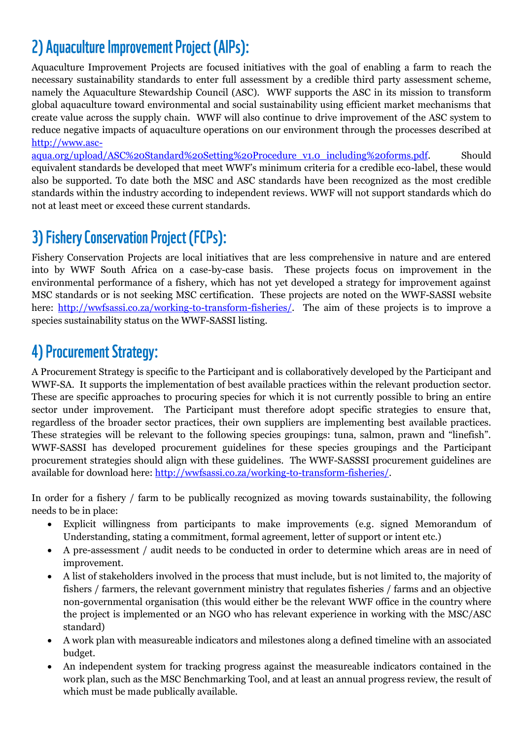## 2) Aquaculture Improvement Project (AIPs):

Aquaculture Improvement Projects are focused initiatives with the goal of enabling a farm to reach the necessary sustainability standards to enter full assessment by a credible third party assessment scheme, namely the Aquaculture Stewardship Council (ASC). WWF supports the ASC in its mission to transform global aquaculture toward environmental and social sustainability using efficient market mechanisms that create value across the supply chain. WWF will also continue to drive improvement of the ASC system to reduce negative impacts of aquaculture operations on our environment through the processes described at [http://www.asc-](http://www.asc-aqua.org/upload/ASC%20Standard%20Setting%20Procedure_v1.0_including%20forms.pdf)

[aqua.org/upload/ASC%20Standard%20Setting%20Procedure\\_v1.0\\_including%20forms.pdf.](http://www.asc-aqua.org/upload/ASC%20Standard%20Setting%20Procedure_v1.0_including%20forms.pdf) Should equivalent standards be developed that meet WWF's minimum criteria for a credible eco-label, these would also be supported. To date both the MSC and ASC standards have been recognized as the most credible standards within the industry according to independent reviews. WWF will not support standards which do not at least meet or exceed these current standards.

### 3) Fishery Conservation Project (FCPs):

Fishery Conservation Projects are local initiatives that are less comprehensive in nature and are entered into by WWF South Africa on a case-by-case basis. These projects focus on improvement in the environmental performance of a fishery, which has not yet developed a strategy for improvement against MSC standards or is not seeking MSC certification. These projects are noted on the WWF-SASSI website here: [http://wwfsassi.co.za/working-to-transform-fisheries/.](http://wwfsassi.co.za/working-to-transform-fisheries/) The aim of these projects is to improve a species sustainability status on the WWF-SASSI listing.

#### 4) Procurement Strategy:

A Procurement Strategy is specific to the Participant and is collaboratively developed by the Participant and WWF-SA. It supports the implementation of best available practices within the relevant production sector. These are specific approaches to procuring species for which it is not currently possible to bring an entire sector under improvement. The Participant must therefore adopt specific strategies to ensure that, regardless of the broader sector practices, their own suppliers are implementing best available practices. These strategies will be relevant to the following species groupings: tuna, salmon, prawn and "linefish". WWF-SASSI has developed procurement guidelines for these species groupings and the Participant procurement strategies should align with these guidelines. The WWF-SASSSI procurement guidelines are available for download here: [http://wwfsassi.co.za/working-to-transform-fisheries/.](http://wwfsassi.co.za/working-to-transform-fisheries/)

In order for a fishery / farm to be publically recognized as moving towards sustainability, the following needs to be in place:

- Explicit willingness from participants to make improvements (e.g. signed Memorandum of Understanding, stating a commitment, formal agreement, letter of support or intent etc.)
- A pre-assessment / audit needs to be conducted in order to determine which areas are in need of improvement.
- A list of stakeholders involved in the process that must include, but is not limited to, the majority of fishers / farmers, the relevant government ministry that regulates fisheries / farms and an objective non-governmental organisation (this would either be the relevant WWF office in the country where the project is implemented or an NGO who has relevant experience in working with the MSC/ASC standard)
- A work plan with measureable indicators and milestones along a defined timeline with an associated budget.
- An independent system for tracking progress against the measureable indicators contained in the work plan, such as the MSC Benchmarking Tool, and at least an annual progress review, the result of which must be made publically available.